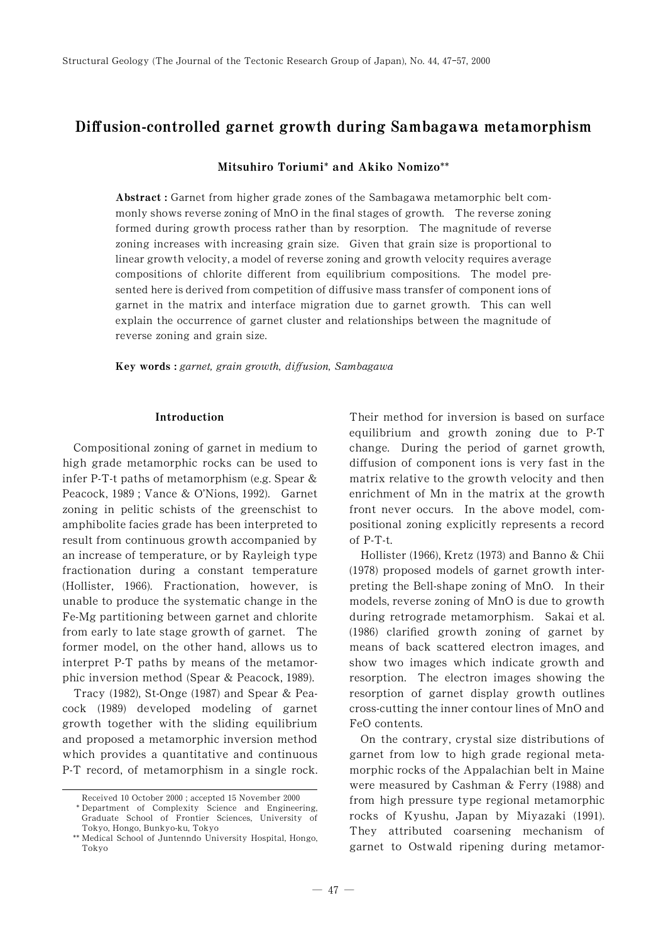# Diffusion-controlled garnet growth during Sambagawa metamorphism

Mitsuhiro Toriumi\* and Akiko Nomizo\*\*

Abstract : Garnet from higher grade zones of the Sambagawa metamorphic belt commonly shows reverse zoning of MnO in the final stages of growth. The reverse zoning formed during growth process rather than by resorption. The magnitude of reverse zoning increases with increasing grain size. Given that grain size is proportional to linear growth velocity, a model of reverse zoning and growth velocity requires average compositions of chlorite different from equilibrium compositions. The model presented here is derived from competition of diffusive mass transfer of component ions of garnet in the matrix and interface migration due to garnet growth. This can well explain the occurrence of garnet cluster and relationships between the magnitude of reverse zoning and grain size.

Key words : garnet, grain growth, diffusion, Sambagawa

#### Introduction

Compositional zoning of garnet in medium to high grade metamorphic rocks can be used to infer P-T-t paths of metamorphism (e.g. Spear & Peacock, 1989; Vance & O'Nions, 1992). Garnet zoning in pelitic schists of the greenschist to amphibolite facies grade has been interpreted to result from continuous growth accompanied by an increase of temperature, or by Rayleigh type fractionation during a constant temperature (Hollister, 1966). Fractionation, however, is unable to produce the systematic change in the Fe-Mg partitioning between garnet and chlorite from early to late stage growth of garnet. The former model, on the other hand, allows us to interpret P-T paths by means of the metamorphic inversion method (Spear & Peacock, 1989).

Tracy (1982), St-Onge (1987) and Spear & Peacock (1989) developed modeling of garnet growth together with the sliding equilibrium and proposed a metamorphic inversion method which provides a quantitative and continuous P-T record, of metamorphism in a single rock. Their method for inversion is based on surface equilibrium and growth zoning due to P-T change. During the period of garnet growth, diffusion of component ions is very fast in the matrix relative to the growth velocity and then enrichment of Mn in the matrix at the growth front never occurs. In the above model, compositional zoning explicitly represents a record of P-T-t.

Hollister (1966), Kretz (1973) and Banno & Chii  $(1978)$  proposed models of garnet growth interpreting the Bell-shape zoning of MnO. In their models, reverse zoning of MnO is due to growth during retrograde metamorphism. Sakai et al.  $(1986)$  clarified growth zoning of garnet by means of back scattered electron images, and show two images which indicate growth and resorption. The electron images showing the resorption of garnet display growth outlines cross-cutting the inner contour lines of MnO and FeO contents.

On the contrary, crystal size distributions of garnet from low to high grade regional metamorphic rocks of the Appalachian belt in Maine were measured by Cashman  $&$  Ferry (1988) and from high pressure type regional metamorphic rocks of Kyushu, Japan by Miyazaki (1991). They attributed coarsening mechanism of garnet to Ostwald ripening during metamor-

Received 10 October 2000 ; accepted 15 November 2000

<sup>\*</sup> Department of Complexity Science and Engineering, Graduate School of Frontier Sciences, University of Tokyo, Hongo, Bunkyo-ku, Tokyo

<sup>\*\*</sup> Medical School of Juntenndo University Hospital, Hongo, Tokyo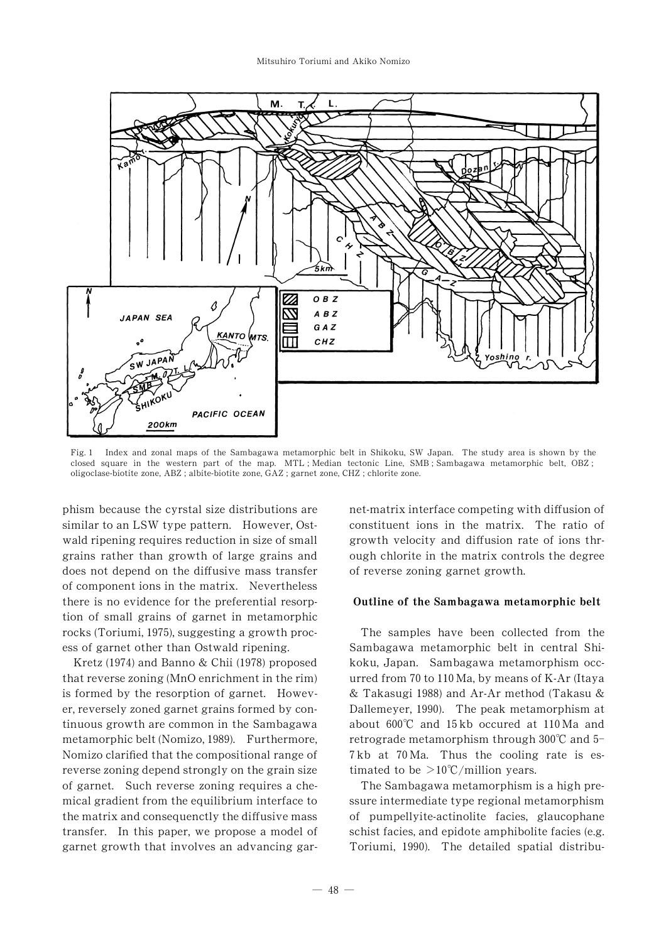

Fig. 1 Index and zonal maps of the Sambagawa metamorphic belt in Shikoku, SW Japan. The study area is shown by the closed square in the western part of the map. MTL ; Median tectonic Line, SMB ; Sambagawa metamorphic belt, OBZ ; oligoclase-biotite zone, ABZ ; albite-biotite zone, GAZ ; garnet zone, CHZ ; chlorite zone.

phism because the cyrstal size distributions are similar to an LSW type pattern. However, Ostwald ripening requires reduction in size of small grains rather than growth of large grains and does not depend on the diffusive mass transfer of component ions in the matrix. Nevertheless there is no evidence for the preferential resorption of small grains of garnet in metamorphic rocks (Toriumi, 1975), suggesting a growth process of garnet other than Ostwald ripening.

Kretz (1974) and Banno & Chii (1978) proposed that reverse zoning (MnO enrichment in the rim) is formed by the resorption of garnet. However, reversely zoned garnet grains formed by continuous growth are common in the Sambagawa metamorphic belt (Nomizo, 1989). Furthermore, Nomizo clarified that the compositional range of reverse zoning depend strongly on the grain size of garnet. Such reverse zoning requires a chemical gradient from the equilibrium interface to the matrix and consequenctly the diffusive mass transfer. In this paper, we propose a model of garnet growth that involves an advancing garnet-matrix interface competing with diffusion of constituent ions in the matrix. The ratio of growth velocity and diffusion rate of ions through chlorite in the matrix controls the degree of reverse zoning garnet growth.

#### Outline of the Sambagawa metamorphic belt

The samples have been collected from the Sambagawa metamorphic belt in central Shikoku, Japan. Sambagawa metamorphism occurred from 70 to  $110$  Ma, by means of K-Ar (Itaya & Takasugi 1988) and Ar-Ar method (Takasu & Dallemeyer, 1990). The peak metamorphism at about  $600^{\circ}$ C and  $15 \text{ kb}$  occured at  $110 \text{ Ma}$  and retrograde metamorphism through  $300^{\circ}$ C and 5-7kb at 70 Ma. Thus the cooling rate is estimated to be  $>10^{\circ}$ C/million years.

The Sambagawa metamorphism is a high pressure intermediate type regional metamorphism of pumpellyite-actinolite facies, glaucophane schist facies, and epidote amphibolite facies (e.g. Toriumi, 1990). The detailed spatial distribu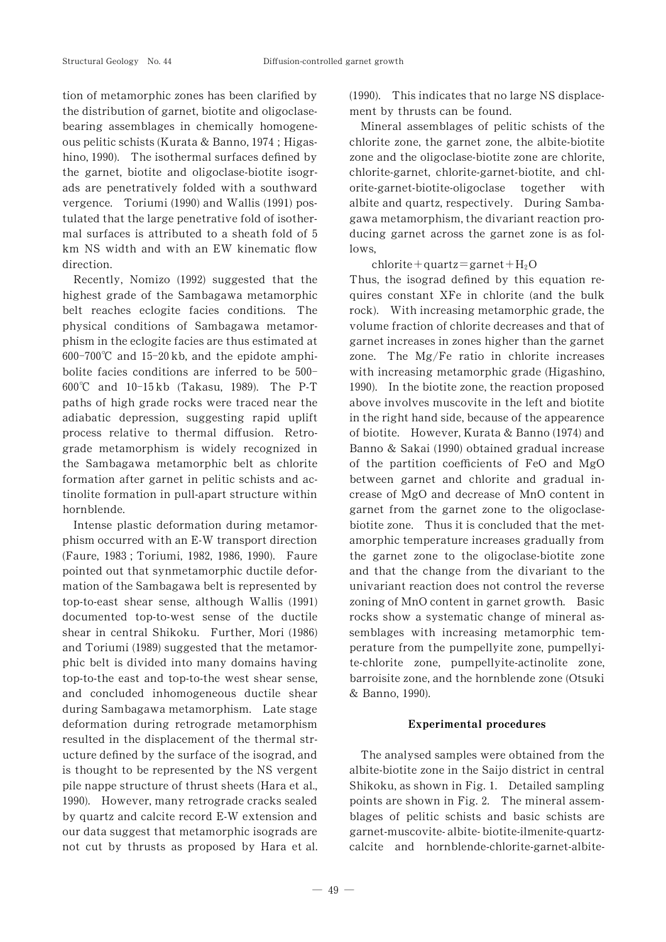tion of metamorphic zones has been clarified by the distribution of garnet, biotite and oligoclasebearing assemblages in chemically homogeneous pelitic schists (Kurata & Banno, 1974; Higashino, 1990). The isothermal surfaces defined by the garnet, biotite and oligoclase-biotite isograds are penetratively folded with a southward vergence. Toriumi (1990) and Wallis (1991) postulated that the large penetrative fold of isothermal surfaces is attributed to a sheath fold of 5 km NS width and with an EW kinematic flow direction.

Recently, Nomizo  $(1992)$  suggested that the highest grade of the Sambagawa metamorphic belt reaches eclogite facies conditions. The physical conditions of Sambagawa metamorphism in the eclogite facies are thus estimated at  $600-700^{\circ}\text{C}$  and  $15-20\,\text{kb}$ , and the epidote amphibolite facies conditions are inferred to be  $500-$ 600°C and 10-15kb (Takasu, 1989). The P-T paths of high grade rocks were traced near the adiabatic depression, suggesting rapid uplift process relative to thermal diffusion. Retrograde metamorphism is widely recognized in the Sambagawa metamorphic belt as chlorite formation after garnet in pelitic schists and actinolite formation in pull-apart structure within hornblende.

Intense plastic deformation during metamorphism occurred with an E-W transport direction (Faure, 1983; Toriumi, 1982, 1986, 1990). Faure pointed out that synmetamorphic ductile deformation of the Sambagawa belt is represented by  $top-to-east$  shear sense, although Wallis  $(1991)$ documented top-to-west sense of the ductile shear in central Shikoku. Further, Mori (1986) and Toriumi (1989) suggested that the metamorphic belt is divided into many domains having top-to-the east and top-to-the west shear sense, and concluded inhomogeneous ductile shear during Sambagawa metamorphism. Late stage deformation during retrograde metamorphism resulted in the displacement of the thermal structure defined by the surface of the isograd, and is thought to be represented by the NS vergent pile nappe structure of thrust sheets (Hara et al., 1990). However, many retrograde cracks sealed by quartz and calcite record E-W extension and our data suggest that metamorphic isograds are not cut by thrusts as proposed by Hara et al.  $(1990)$ . This indicates that no large NS displacement by thrusts can be found.

Mineral assemblages of pelitic schists of the chlorite zone, the garnet zone, the albite-biotite zone and the oligoclase-biotite zone are chlorite, chlorite-garnet, chlorite-garnet-biotite, and chlorite-garnet-biotite-oligoclase together with albite and quartz, respectively. During Sambagawa metamorphism, the divariant reaction producing garnet across the garnet zone is as follows,

 $chlorite + quartz = garnet + H<sub>2</sub>O$ 

Thus, the isograd defined by this equation requires constant XFe in chlorite (and the bulk rock). With increasing metamorphic grade, the volume fraction of chlorite decreases and that of garnet increases in zones higher than the garnet zone. The Mg/Fe ratio in chlorite increases with increasing metamorphic grade (Higashino, 1990). In the biotite zone, the reaction proposed above involves muscovite in the left and biotite in the right hand side, because of the appearence of biotite. However, Kurata & Banno (1974) and Banno & Sakai (1990) obtained gradual increase of the partition coefficients of FeO and  $MgO$ between garnet and chlorite and gradual increase of MgO and decrease of MnO content in garnet from the garnet zone to the oligoclasebiotite zone. Thus it is concluded that the metamorphic temperature increases gradually from the garnet zone to the oligoclase-biotite zone and that the change from the divariant to the univariant reaction does not control the reverse zoning of MnO content in garnet growth. Basic rocks show a systematic change of mineral assemblages with increasing metamorphic temperature from the pumpellyite zone, pumpellyite-chlorite zone, pumpellyite-actinolite zone, barroisite zone, and the hornblende zone (Otsuki & Banno, 1990).

#### Experimental procedures

The analysed samples were obtained from the albite-biotite zone in the Saijo district in central Shikoku, as shown in Fig. 1. Detailed sampling points are shown in Fig. 2. The mineral assemblages of pelitic schists and basic schists are garnet-muscovite- albite- biotite-ilmenite-quartzcalcite and hornblende-chlorite-garnet-albite-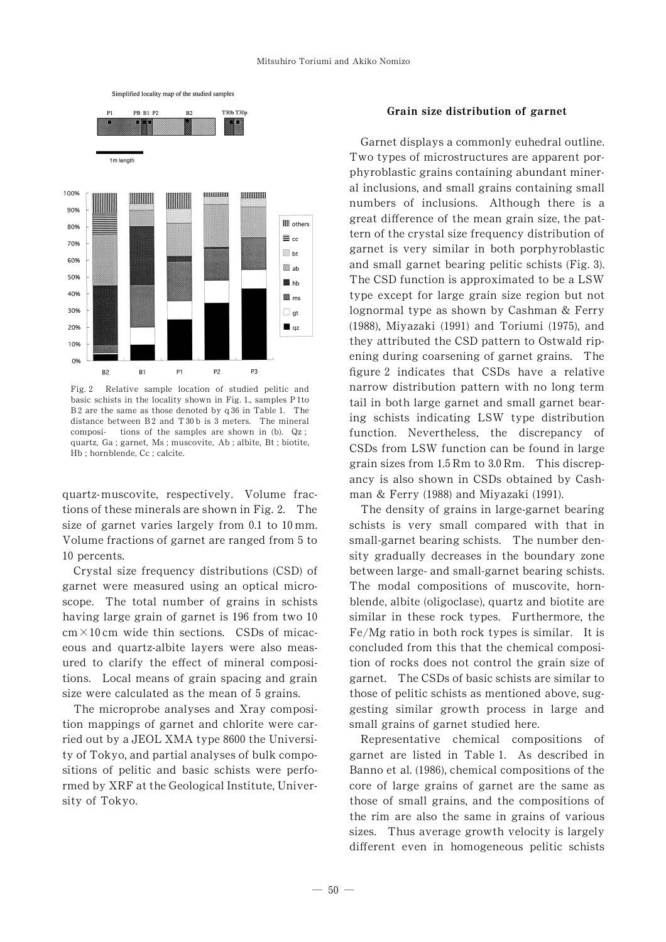

Fig. 2 Relative sample location of studied pelitic and basic schists in the locality shown in Fig. 1, samples P 1to B<sub>2</sub> are the same as those denoted by  $q36$  in Table 1. The distance between  $B2$  and  $T30$  b is 3 meters. The mineral composi- tions of the samples are shown in (b). Qz ; quartz, Ga ; garnet, Ms ; muscovite, Ab ; albite, Bt ; biotite, Hb ; hornblende, Cc ; calcite.

quartz-muscovite, respectively. Volume fractions of these minerals are shown in Fig. 2. The size of garnet varies largely from  $0.1$  to  $10 \text{ mm}$ . Volume fractions of garnet are ranged from 5 to 10 percents.

Crystal size frequency distributions (CSD) of garnet were measured using an optical microscope. The total number of grains in schists having large grain of garnet is 196 from two 10  $cm \times 10$  cm wide thin sections. CSDs of micaceous and quartz-albite layers were also measured to clarify the effect of mineral compositions. Local means of grain spacing and grain size were calculated as the mean of 5 grains.

The microprobe analyses and Xray composition mappings of garnet and chlorite were carried out by a JEOL XMA type 8600 the University of Tokyo, and partial analyses of bulk compositions of pelitic and basic schists were performed by XRF at the Geological Institute, University of Tokyo.

#### Grain size distribution of garnet

Garnet displays a commonly euhedral outline. Two types of microstructures are apparent porphyroblastic grains containing abundant mineral inclusions, and small grains containing small numbers of inclusions. Although there is a great difference of the mean grain size, the pattern of the crystal size frequency distribution of garnet is very similar in both porphyroblastic and small garnet bearing pelitic schists  $(Fig. 3)$ . The CSD function is approximated to be a LSW type except for large grain size region but not lognormal type as shown by Cashman & Ferry  $(1988)$ , Miyazaki  $(1991)$  and Toriumi  $(1975)$ , and they attributed the CSD pattern to Ostwald ripening during coarsening of garnet grains. The figure 2 indicates that CSDs have a relative narrow distribution pattern with no long term tail in both large garnet and small garnet bearing schists indicating LSW type distribution function. Nevertheless, the discrepancy of CSDs from LSW function can be found in large grain sizes from  $1.5$  Rm to  $3.0$  Rm. This discrepancy is also shown in CSDs obtained by Cashman & Ferry (1988) and Miyazaki (1991).

The density of grains in large-garnet bearing schists is very small compared with that in small-garnet bearing schists. The number density gradually decreases in the boundary zone between large- and small-garnet bearing schists. The modal compositions of muscovite, hornblende, albite (oligoclase), quartz and biotite are similar in these rock types. Furthermore, the Fe/Mg ratio in both rock types is similar. It is concluded from this that the chemical composition of rocks does not control the grain size of garnet. The CSDs of basic schists are similar to those of pelitic schists as mentioned above, suggesting similar growth process in large and small grains of garnet studied here.

Representative chemical compositions of garnet are listed in Table 1. As described in Banno et al. (1986), chemical compositions of the core of large grains of garnet are the same as those of small grains, and the compositions of the rim are also the same in grains of various sizes. Thus average growth velocity is largely different even in homogeneous pelitic schists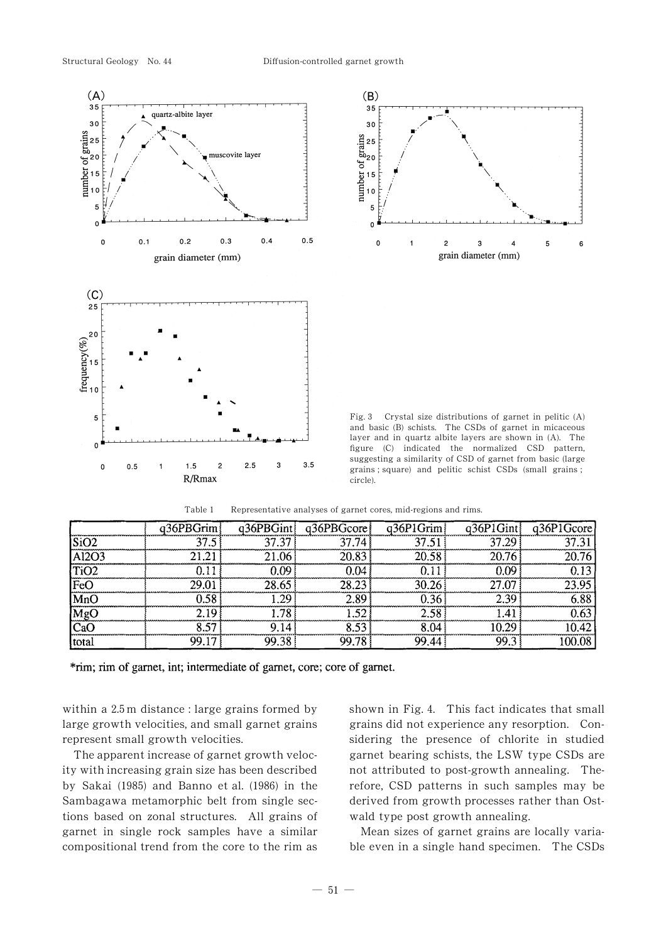



Fig. 3 Crystal size distributions of garnet in pelitic  $(A)$ and basic (B) schists. The CSDs of garnet in micaceous layer and in quartz albite layers are shown in (A). The figure (C) indicated the normalized CSD pattern, suggesting a similarity of CSD of garnet from basic (large grains ; square) and pelitic schist CSDs (small grains ; circle).

|      | $a36$ PBGrim |   | q36PBGint q36PBGcore | q36P1Grim | $\overline{P}$ 1Gint | q36P1Gcore<br>record comment |
|------|--------------|---|----------------------|-----------|----------------------|------------------------------|
|      |              | ำ |                      |           |                      |                              |
| 1202 |              |   |                      |           |                      | ,,,,,,,,                     |
|      |              |   |                      |           |                      |                              |
|      |              |   |                      |           |                      |                              |
|      |              |   |                      |           |                      |                              |
|      |              |   |                      |           |                      |                              |
|      |              |   |                      |           |                      |                              |
| tota |              |   |                      |           |                      |                              |

Table 1 Representative analyses of garnet cores, mid-regions and rims.

\*rim; rim of garnet, int; intermediate of garnet, core; core of garnet.

within a  $2.5$  m distance : large grains formed by large growth velocities, and small garnet grains represent small growth velocities.

The apparent increase of garnet growth velocity with increasing grain size has been described by Sakai (1985) and Banno et al. (1986) in the Sambagawa metamorphic belt from single sections based on zonal structures. All grains of garnet in single rock samples have a similar compositional trend from the core to the rim as

shown in Fig. 4. This fact indicates that small grains did not experience any resorption. Considering the presence of chlorite in studied garnet bearing schists, the LSW type CSDs are not attributed to post-growth annealing. Therefore, CSD patterns in such samples may be derived from growth processes rather than Ostwald type post growth annealing.

Mean sizes of garnet grains are locally variable even in a single hand specimen. The CSDs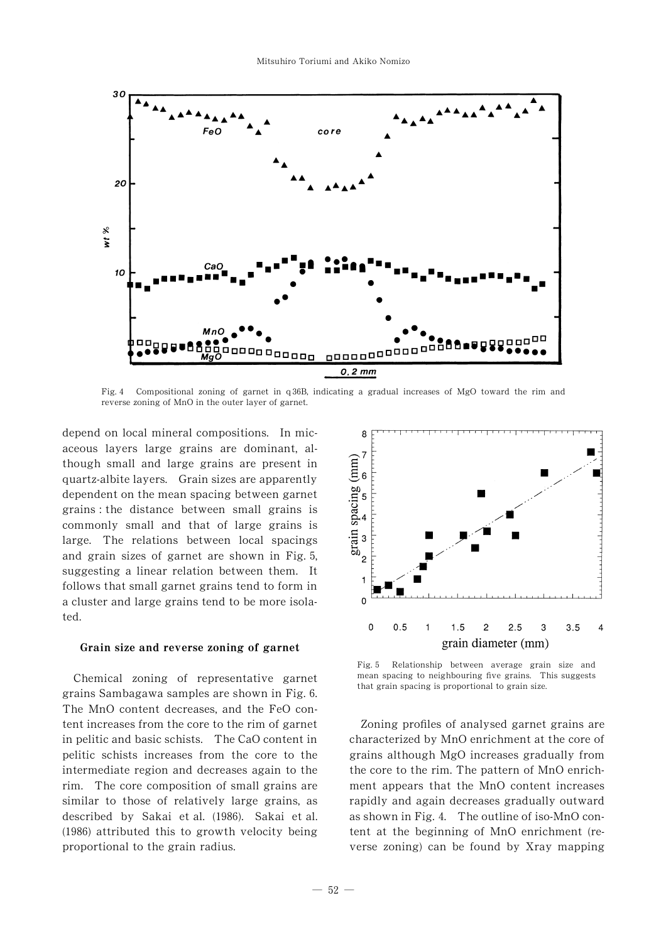

Fig. 4 Compositional zoning of garnet in  $q36B$ , indicating a gradual increases of MgO toward the rim and reverse zoning of MnO in the outer layer of garnet.

depend on local mineral compositions. In micaceous layers large grains are dominant, although small and large grains are present in quartz-albite layers. Grain sizes are apparently dependent on the mean spacing between garnet grains : the distance between small grains is commonly small and that of large grains is large. The relations between local spacings and grain sizes of garnet are shown in Fig. 5, suggesting a linear relation between them. It follows that small garnet grains tend to form in a cluster and large grains tend to be more isolated.

# Grain size and reverse zoning of garnet

Chemical zoning of representative garnet grains Sambagawa samples are shown in Fig. 0. The MnO content decreases, and the FeO content increases from the core to the rim of garnet in pelitic and basic schists. The CaO content in pelitic schists increases from the core to the intermediate region and decreases again to the rim. The core composition of small grains are similar to those of relatively large grains, as described by Sakai et al. (1986). Sakai et al.  $(1986)$  attributed this to growth velocity being proportional to the grain radius.



Fig. 5 Relationship between average grain size and mean spacing to neighbouring five grains. This suggests that grain spacing is proportional to grain size.

Zoning profiles of analysed garnet grains are characterized by MnO enrichment at the core of grains although MgO increases gradually from the core to the rim. The pattern of MnO enrichment appears that the MnO content increases rapidly and again decreases gradually outward as shown in Fig. 4. The outline of iso-MnO content at the beginning of MnO enrichment (reverse zoning) can be found by Xray mapping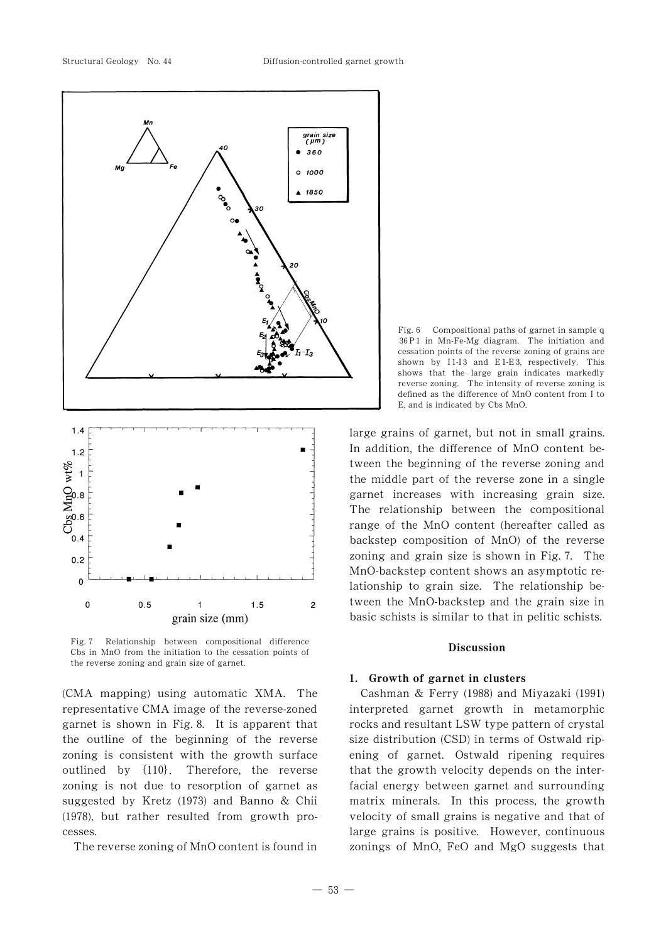

Fig. 7 Relationship between compositional difference Cbs in MnO from the initiation to the cessation points of the reverse zoning and grain size of garnet.

grain size (mm)

(CMA mapping) using automatic XMA. The representative CMA image of the reverse-zoned garnet is shown in Fig. 2. It is apparent that the outline of the beginning of the reverse zoning is consistent with the growth surface outlined by  $\{110\}$ . Therefore, the reverse zoning is not due to resorption of garnet as suggested by Kretz (1973) and Banno & Chii  $(1978)$ , but rather resulted from growth processes.

The reverse zoning of MnO content is found in



large grains of garnet, but not in small grains. In addition, the difference of MnO content between the beginning of the reverse zoning and the middle part of the reverse zone in a single garnet increases with increasing grain size. The relationship between the compositional range of the MnO content (hereafter called as backstep composition of MnO) of the reverse zoning and grain size is shown in Fig. 7. The MnO-backstep content shows an asymptotic relationship to grain size. The relationship between the MnO-backstep and the grain size in basic schists is similar to that in pelitic schists.

### Discussion

#### 1. Growth of garnet in clusters

Cashman & Ferry (1988) and Miyazaki (1991) interpreted garnet growth in metamorphic rocks and resultant LSW type pattern of crystal size distribution (CSD) in terms of Ostwald ripening of garnet. Ostwald ripening requires that the growth velocity depends on the interfacial energy between garnet and surrounding matrix minerals. In this process, the growth velocity of small grains is negative and that of large grains is positive. However, continuous zonings of MnO, FeO and MgO suggests that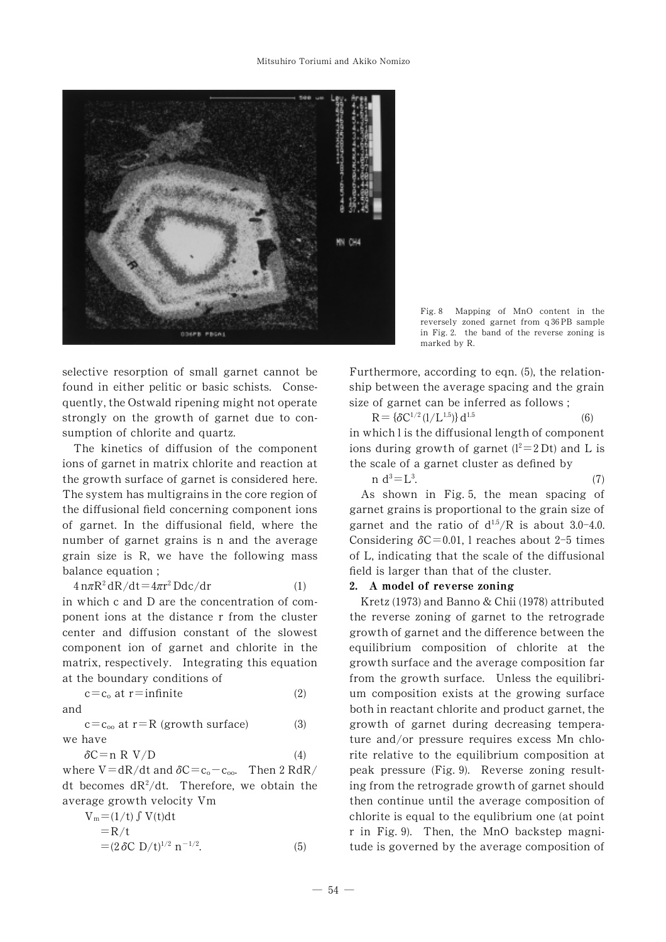

Fig. 2 Mapping of MnO content in the reversely zoned garnet from q 36 PB sample in Fig. 2. the band of the reverse zoning is marked by R.

selective resorption of small garnet cannot be found in either pelitic or basic schists. Consequently, the Ostwald ripening might not operate strongly on the growth of garnet due to consumption of chlorite and quartz.

The kinetics of diffusion of the component ions of garnet in matrix chlorite and reaction at the growth surface of garnet is considered here. The system has multigrains in the core region of the diffusional field concerning component ions of garnet. In the diffusional field, where the number of garnet grains is n and the average grain size is R, we have the following mass balance equation ;

$$
4 n\pi R^2 dR/dt = 4\pi r^2 Ddc/dr
$$
 (1)

in which c and D are the concentration of component ions at the distance r from the cluster center and diffusion constant of the slowest component ion of garnet and chlorite in the matrix, respectively. Integrating this equation at the boundary conditions of

$$
c = c_o \text{ at } r = \text{infinite} \tag{2}
$$

and

$$
c = c_{oo} \text{ at } r = R \text{ (growth surface)}
$$
 (3) we have

$$
\delta C = n \ R \ V/D \tag{4}
$$

where  $V = dR/dt$  and  $\delta C = c_0 - c_{oo}$ . Then 2 RdR/ dt becomes  $dR^2/dt$ . Therefore, we obtain the average growth velocity Vm

$$
V_m = (1/t) \int V(t)dt
$$
  
= R/t  
= (2 \delta C D/t)<sup>1/2</sup> n<sup>-1/2</sup>. (5)

Furthermore, according to eqn.  $(5)$ , the relationship between the average spacing and the grain size of garnet can be inferred as follows ;

$$
R = {\delta C^{1/2} (1/L^{1.5})} d^{1.5}
$$
 (6)  
in which l is the diffusional length of component  
ions during growth of garnet (l<sup>2</sup>=2 Dt) and L is  
the scale of a garnet cluster as defined by

$$
\begin{array}{c}\n\text{and } d^3 = L^3.\n\end{array} \tag{7}
$$

As shown in Fig. 5, the mean spacing of garnet grains is proportional to the grain size of garnet and the ratio of  $d^{1.5}/R$  is about 3.0-4.0. Considering  $\delta C = 0.01$ , l reaches about 2-5 times of L, indicating that the scale of the diffusional field is larger than that of the cluster.

## 2. A model of reverse zoning

Kretz (1973) and Banno & Chii (1978) attributed the reverse zoning of garnet to the retrograde growth of garnet and the difference between the equilibrium composition of chlorite at the growth surface and the average composition far from the growth surface. Unless the equilibrium composition exists at the growing surface both in reactant chlorite and product garnet, the growth of garnet during decreasing temperature and/or pressure requires excess Mn chlorite relative to the equilibrium composition at peak pressure (Fig. 3). Reverse zoning resulting from the retrograde growth of garnet should then continue until the average composition of chlorite is equal to the equlibrium one (at point r in Fig. 3). Then, the MnO backstep magnitude is governed by the average composition of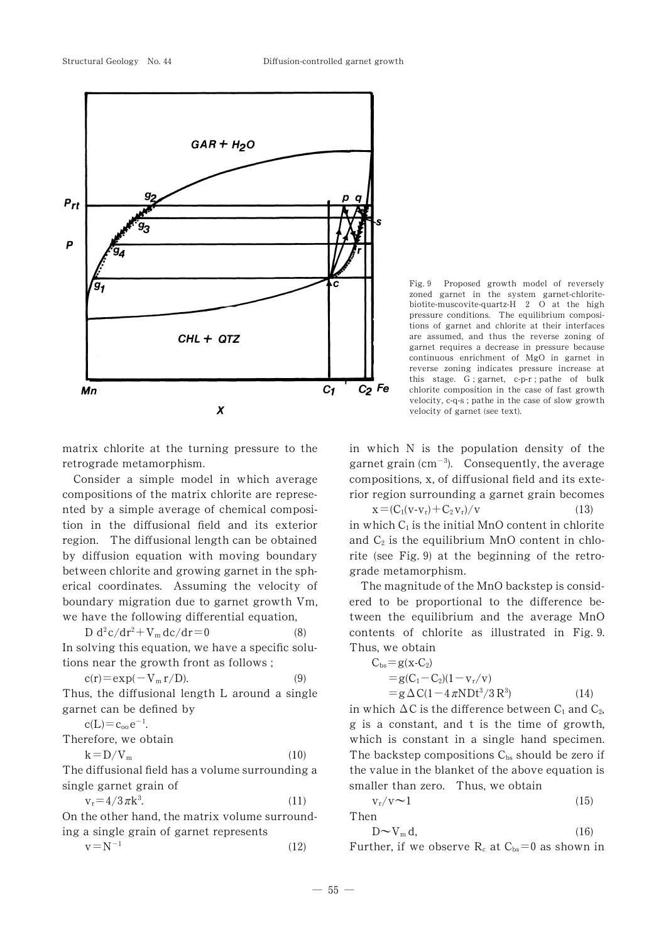

Fig. 3 Proposed growth model of reversely zoned garnet in the system garnet-chloritebiotite-muscovite-quartz- $H$  2 O at the high pressure conditions. The equilibrium compositions of garnet and chlorite at their interfaces are assumed, and thus the reverse zoning of garnet requires a decrease in pressure because continuous enrichment of MgO in garnet in reverse zoning indicates pressure increase at this stage. G ; garnet, c-p-r ; pathe of bulk chlorite composition in the case of fast growth velocity, c-q-s ; pathe in the case of slow growth velocity of garnet (see text).

matrix chlorite at the turning pressure to the retrograde metamorphism.

Consider a simple model in which average compositions of the matrix chlorite are represented by a simple average of chemical composition in the diffusional field and its exterior region. The diffusional length can be obtained by diffusion equation with moving boundary between chlorite and growing garnet in the spherical coordinates. Assuming the velocity of boundary migration due to garnet growth Vm, we have the following differential equation,

D  $d^2c/dr^2 + V_m dc/dr = 0$  $(8)$ In solving this equation, we have a specific solutions near the growth front as follows ;

$$
c(r) = \exp(-V_m r/D). \tag{9}
$$

Thus, the diffusional length L around a single garnet can be defined by

 $c(L)=c_{oo}e^{-1}$ .

Therefore, we obtain

$$
k = D/V_m \tag{10}
$$

The diffusional field has a volume surrounding a single garnet grain of

$$
\mathbf{v}_{\rm r} = 4/3\,\pi\mathbf{k}^3. \tag{11}
$$

On the other hand, the matrix volume surrounding a single grain of garnet represents

$$
v = N^{-1} \tag{12}
$$

in which N is the population density of the garnet grain (cm<sup>-3</sup>). Consequently, the average compositions, x, of diffusional field and its exterior region surrounding a garnet grain becomes

 $x = (C_1(v-v_r) + C_2v_r)/v$  (13) in which  $C_1$  is the initial MnO content in chlorite and  $C_2$  is the equilibrium MnO content in chlorite (see Fig. 3) at the beginning of the retrograde metamorphism.

The magnitude of the MnO backstep is considered to be proportional to the difference between the equilibrium and the average MnO contents of chlorite as illustrated in Fig. 3. Thus, we obtain

$$
C_{bs} = g(x-C_2)
$$
  
= g(C<sub>1</sub>-C<sub>2</sub>)(1-v<sub>r</sub>/v)  
= g  $\Delta C(1-4 \pi N Dt^3/3 R^3)$  (14)

in which  $\Delta C$  is the difference between  $C_1$  and  $C_2$ , g is a constant, and t is the time of growth, which is constant in a single hand specimen. The backstep compositions  $C_{bs}$  should be zero if the value in the blanket of the above equation is smaller than zero. Thus, we obtain

 $v_r/v \sim 1$  (15) **Then** 

n  

$$
D \sim V_{m} d,
$$
 (16)

Further, if we observe  $R_c$  at  $C_{bs}=0$  as shown in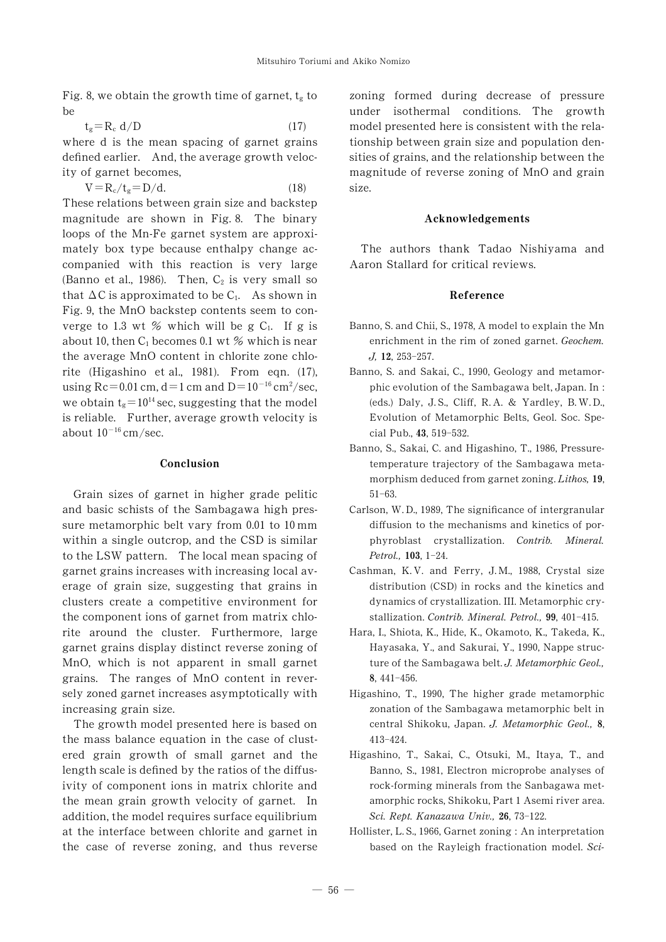Fig. 8, we obtain the growth time of garnet,  $t_g$  to be

 $t_g = R_c \ d/D$  (17)

where d is the mean spacing of garnet grains defined earlier. And, the average growth velocity of garnet becomes,

$$
V = R_c / t_g = D/d. \tag{18}
$$

These relations between grain size and backstep magnitude are shown in Fig. 8. The binary loops of the Mn-Fe garnet system are approximately box type because enthalpy change accompanied with this reaction is very large (Banno et al., 1986). Then,  $C_2$  is very small so that  $\Delta C$  is approximated to be C<sub>1</sub>. As shown in Fig. 3, the MnO backstep contents seem to converge to 1.3 wt % which will be g  $C_1$ . If g is about 10, then  $C_1$  becomes 0.1 wt % which is near the average MnO content in chlorite zone chlorite (Higashino et al.,  $1981$ ). From eqn. (17), using  $\text{Rc} = 0.01 \text{ cm}$ ,  $\text{d} = 1 \text{ cm}$  and  $\text{D} = 10^{-16} \text{ cm}^2/\text{sec}$ , we obtain  $t_g=10^{14}$  sec, suggesting that the model is reliable. Further, average growth velocity is about  $10^{-16}$  cm/sec.

### Conclusion

Grain sizes of garnet in higher grade pelitic and basic schists of the Sambagawa high pressure metamorphic belt vary from  $0.01$  to  $10 \text{ mm}$ within a single outcrop, and the CSD is similar to the LSW pattern. The local mean spacing of garnet grains increases with increasing local average of grain size, suggesting that grains in clusters create a competitive environment for the component ions of garnet from matrix chlorite around the cluster. Furthermore, large garnet grains display distinct reverse zoning of MnO, which is not apparent in small garnet grains. The ranges of MnO content in reversely zoned garnet increases asymptotically with increasing grain size.

The growth model presented here is based on the mass balance equation in the case of clustered grain growth of small garnet and the length scale is defined by the ratios of the diffusivity of component ions in matrix chlorite and the mean grain growth velocity of garnet. In addition, the model requires surface equilibrium at the interface between chlorite and garnet in the case of reverse zoning, and thus reverse zoning formed during decrease of pressure under isothermal conditions. The growth model presented here is consistent with the relationship between grain size and population densities of grains, and the relationship between the magnitude of reverse zoning of MnO and grain size.

### Acknowledgements

The authors thank Tadao Nishiyama and Aaron Stallard for critical reviews.

### Reference

- Banno, S. and Chii, S., 1978, A model to explain the Mn enrichment in the rim of zoned garnet. Geochem.  $J, 12, 253 - 257.$
- Banno, S. and Sakai, C., 1990, Geology and metamorphic evolution of the Sambagawa belt, Japan. In :  $(eds.)$  Daly, J.S., Cliff, R.A. & Yardley, B.W.D., Evolution of Metamorphic Belts, Geol. Soc. Special Pub., 43, 519-532.
- Banno, S., Sakai, C. and Higashino, T., 1986, Pressuretemperature trajectory of the Sambagawa metamorphism deduced from garnet zoning. Lithos,  $19$ ,  $51-63.$
- Carlson, W.D., 1989, The significance of intergranular diffusion to the mechanisms and kinetics of porphyroblast crystallization. Contrib. Mineral. Petrol., 103, 1-24.
- Cashman, K.V. and Ferry, J.M., 1988, Crystal size distribution (CSD) in rocks and the kinetics and dynamics of crystallization. III. Metamorphic crystallization. Contrib. Mineral. Petrol., 99, 401-415.
- Hara, I., Shiota, K., Hide, K., Okamoto, K., Takeda, K., Hayasaka, Y., and Sakurai, Y., 1990, Nappe structure of the Sambagawa belt. J. Metamorphic Geol., 8, 441-456.
- Higashino, T., 1990, The higher grade metamorphic zonation of the Sambagawa metamorphic belt in central Shikoku, Japan. J. Metamorphic Geol., 8, 413-424.
- Higashino, T., Sakai, C., Otsuki, M., Itaya, T., and Banno, S., 1981, Electron microprobe analyses of rock-forming minerals from the Sanbagawa metamorphic rocks, Shikoku, Part 1 Asemi river area. Sci. Rept. Kanazawa Univ., 26, 73-122.
- Hollister, L. S., 1966, Garnet zoning : An interpretation based on the Rayleigh fractionation model. Sci-